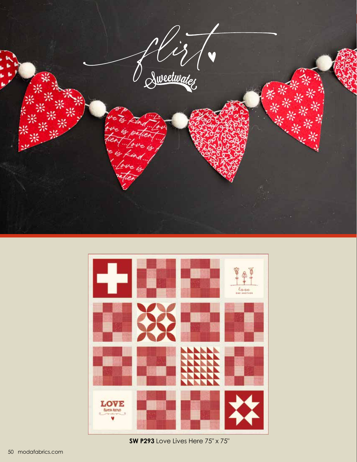



**SW P293** Love Lives Here 75" x 75"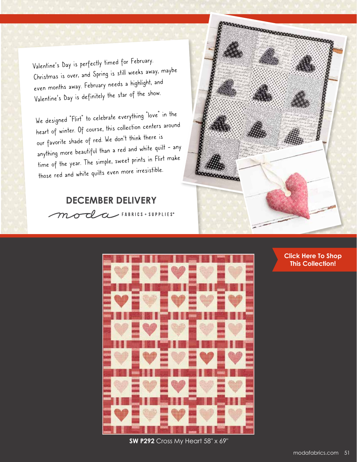Valentine's Day is perfectly timed for February. Christmas is over, and Spring is still weeks away, maybe even months away. February needs a highlight, and Valentine's Day is definitely the star of the show.

We designed "Flirt" to celebrate everything "love" in the heart of winter. Of course, this collection centers around our favorite shade of red. We don't think there is anything more beautiful than a red and white quilt - any time of the year. The simple, sweet prints in Flirt make those red and white quilts even more irresistible.

## **DECEMBER DELIVERY**

moda FABRICS + SUPPLIES"





**[Click Here To Shop](https://my.modafabrics.com/shop/s/Sweetwater/Flirt/) This Collection!**

**SW P292** Cross My Heart 58" x 69"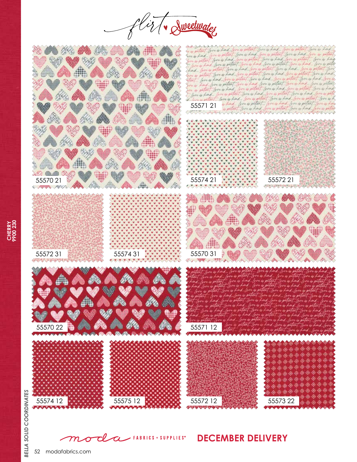





52 modafabrics.com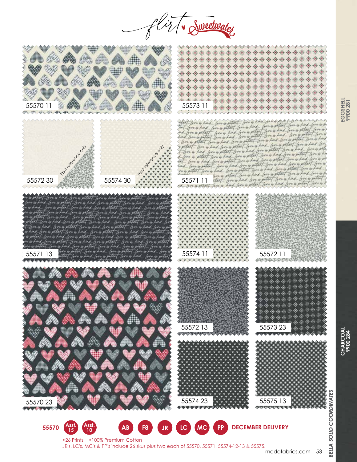is Tv Sweetwater



JR's, LC's, MC's & PP's include 26 skus plus two each of 55570, 55571, 55574-12-13 & 55575.

## modafabrics.com 53

**EGGSHELL 9900 281**

> **CHARCOAL 9900 284**

BELLA

**CHARCOAL**<br>9900 284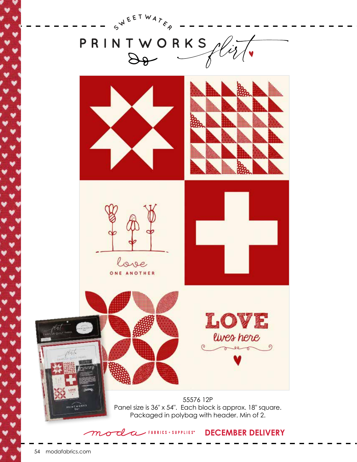